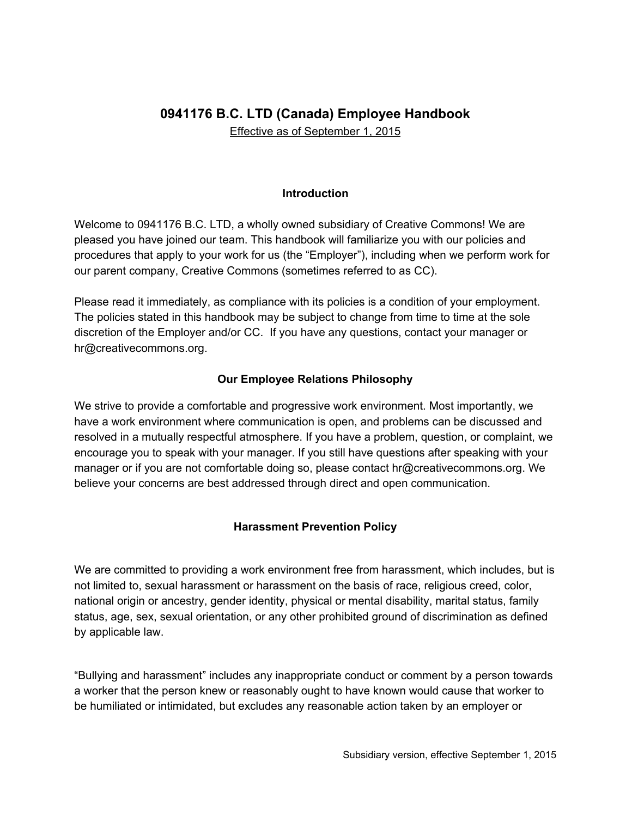# **0941176 B.C. LTD (Canada) Employee Handbook**

Effective as of September 1, 2015

#### **Introduction**

Welcome to 0941176 B.C. LTD, a wholly owned subsidiary of Creative Commons! We are pleased you have joined our team. This handbook will familiarize you with our policies and procedures that apply to your work for us (the "Employer"), including when we perform work for our parent company, Creative Commons (sometimes referred to as CC).

Please read it immediately, as compliance with its policies is a condition of your employment. The policies stated in this handbook may be subject to change from time to time at the sole discretion of the Employer and/or CC. If you have any questions, contact your manager or hr@creativecommons.org.

#### **Our Employee Relations Philosophy**

We strive to provide a comfortable and progressive work environment. Most importantly, we have a work environment where communication is open, and problems can be discussed and resolved in a mutually respectful atmosphere. If you have a problem, question, or complaint, we encourage you to speak with your manager. If you still have questions after speaking with your manager or if you are not comfortable doing so, please contact hr@creativecommons.org. We believe your concerns are best addressed through direct and open communication.

#### **Harassment Prevention Policy**

We are committed to providing a work environment free from harassment, which includes, but is not limited to, sexual harassment or harassment on the basis of race, religious creed, color, national origin or ancestry, gender identity, physical or mental disability, marital status, family status, age, sex, sexual orientation, or any other prohibited ground of discrimination as defined by applicable law.

"Bullying and harassment" includes any inappropriate conduct or comment by a person towards a worker that the person knew or reasonably ought to have known would cause that worker to be humiliated or intimidated, but excludes any reasonable action taken by an employer or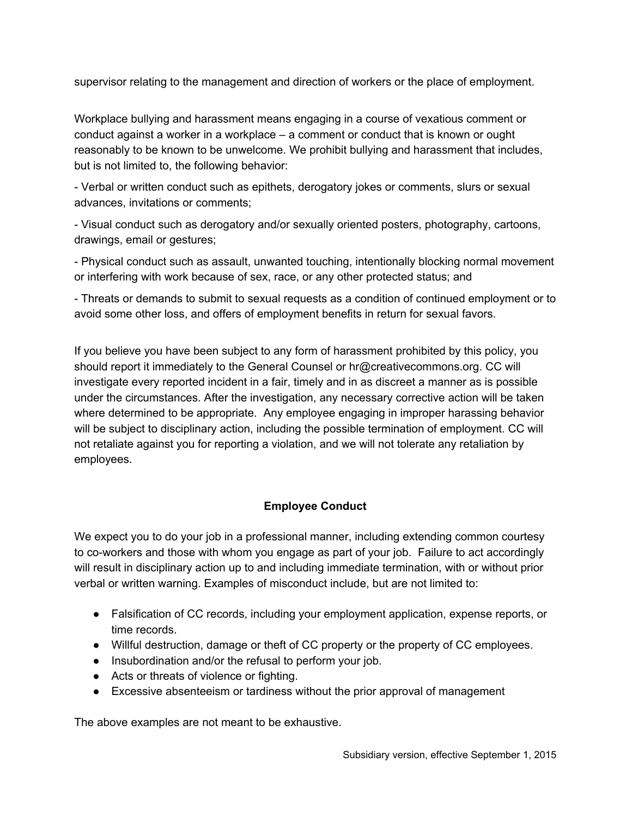supervisor relating to the management and direction of workers or the place of employment.

Workplace bullying and harassment means engaging in a course of vexatious comment or conduct against a worker in a workplace – a comment or conduct that is known or ought reasonably to be known to be unwelcome. We prohibit bullying and harassment that includes, but is not limited to, the following behavior:

 Verbal or written conduct such as epithets, derogatory jokes or comments, slurs or sexual advances, invitations or comments;

 Visual conduct such as derogatory and/or sexually oriented posters, photography, cartoons, drawings, email or gestures;

 Physical conduct such as assault, unwanted touching, intentionally blocking normal movement or interfering with work because of sex, race, or any other protected status; and

 Threats or demands to submit to sexual requests as a condition of continued employment or to avoid some other loss, and offers of employment benefits in return for sexual favors.

If you believe you have been subject to any form of harassment prohibited by this policy, you should report it immediately to the General Counsel or hr@creativecommons.org. CC will investigate every reported incident in a fair, timely and in as discreet a manner as is possible under the circumstances. After the investigation, any necessary corrective action will be taken where determined to be appropriate. Any employee engaging in improper harassing behavior will be subject to disciplinary action, including the possible termination of employment. CC will not retaliate against you for reporting a violation, and we will not tolerate any retaliation by employees.

#### **Employee Conduct**

We expect you to do your job in a professional manner, including extending common courtesy to coworkers and those with whom you engage as part of your job. Failure to act accordingly will result in disciplinary action up to and including immediate termination, with or without prior verbal or written warning. Examples of misconduct include, but are not limited to:

- Falsification of CC records, including your employment application, expense reports, or time records.
- Willful destruction, damage or theft of CC property or the property of CC employees.
- Insubordination and/or the refusal to perform your job.
- Acts or threats of violence or fighting.
- Excessive absenteeism or tardiness without the prior approval of management

The above examples are not meant to be exhaustive.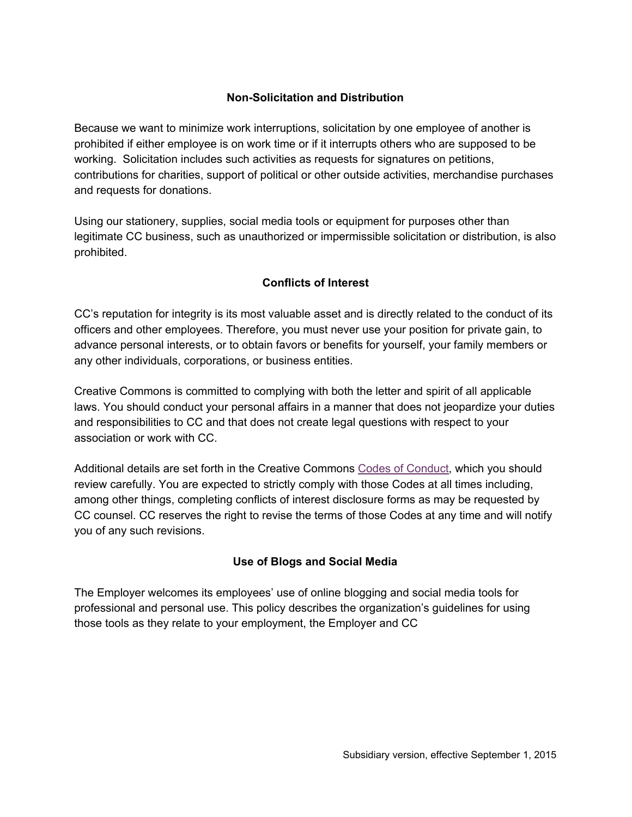### **Non-Solicitation and Distribution**

Because we want to minimize work interruptions, solicitation by one employee of another is prohibited if either employee is on work time or if it interrupts others who are supposed to be working. Solicitation includes such activities as requests for signatures on petitions, contributions for charities, support of political or other outside activities, merchandise purchases and requests for donations.

Using our stationery, supplies, social media tools or equipment for purposes other than legitimate CC business, such as unauthorized or impermissible solicitation or distribution, is also prohibited.

## **Conflicts of Interest**

CC's reputation for integrity is its most valuable asset and is directly related to the conduct of its officers and other employees. Therefore, you must never use your position for private gain, to advance personal interests, or to obtain favors or benefits for yourself, your family members or any other individuals, corporations, or business entities.

Creative Commons is committed to complying with both the letter and spirit of all applicable laws. You should conduct your personal affairs in a manner that does not jeopardize your duties and responsibilities to CC and that does not create legal questions with respect to your association or work with CC.

Additional details are set forth in the Creative Commons Codes of Conduct, which you should review carefully. You are expected to strictly comply with those Codes at all times including, among other things, completing conflicts of interest disclosure forms as may be requested by CC counsel. CC reserves the right to revise the terms of those Codes at any time and will notify you of any such revisions.

#### **Use of Blogs and Social Media**

The Employer welcomes its employees' use of online blogging and social media tools for professional and personal use. This policy describes the organization's guidelines for using those tools as they relate to your employment, the Employer and CC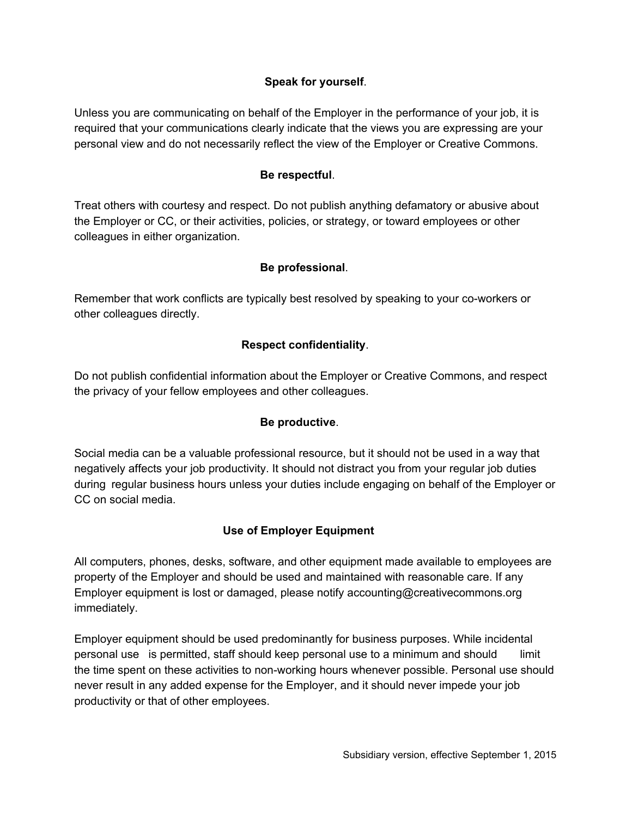#### **Speak for yourself**.

Unless you are communicating on behalf of the Employer in the performance of your job, it is required that your communications clearly indicate that the views you are expressing are your personal view and do not necessarily reflect the view of the Employer or Creative Commons.

#### **Be respectful**.

Treat others with courtesy and respect. Do not publish anything defamatory or abusive about the Employer or CC, or their activities, policies, or strategy, or toward employees or other colleagues in either organization.

#### **Be professional**.

Remember that work conflicts are typically best resolved by speaking to your co-workers or other colleagues directly.

#### **Respect confidentiality**.

Do not publish confidential information about the Employer or Creative Commons, and respect the privacy of your fellow employees and other colleagues.

#### **Be productive**.

Social media can be a valuable professional resource, but it should not be used in a way that negatively affects your job productivity. It should not distract you from your regular job duties during regular business hours unless your duties include engaging on behalf of the Employer or CC on social media.

#### **Use of Employer Equipment**

All computers, phones, desks, software, and other equipment made available to employees are property of the Employer and should be used and maintained with reasonable care. If any Employer equipment is lost or damaged, please notify accounting@creativecommons.org immediately.

Employer equipment should be used predominantly for business purposes. While incidental personal use is permitted, staff should keep personal use to a minimum and should limit the time spent on these activities to non-working hours whenever possible. Personal use should never result in any added expense for the Employer, and it should never impede your job productivity or that of other employees.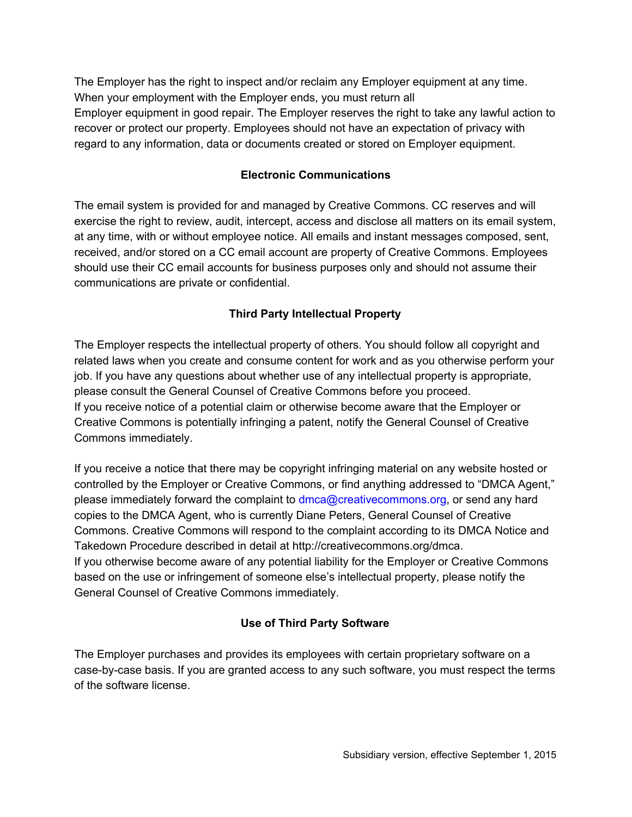The Employer has the right to inspect and/or reclaim any Employer equipment at any time. When your employment with the Employer ends, you must return all Employer equipment in good repair. The Employer reserves the right to take any lawful action to recover or protect our property. Employees should not have an expectation of privacy with regard to any information, data or documents created or stored on Employer equipment.

#### **Electronic Communications**

The email system is provided for and managed by Creative Commons. CC reserves and will exercise the right to review, audit, intercept, access and disclose all matters on its email system, at any time, with or without employee notice. All emails and instant messages composed, sent, received, and/or stored on a CC email account are property of Creative Commons. Employees should use their CC email accounts for business purposes only and should not assume their communications are private or confidential.

# **Third Party Intellectual Property**

The Employer respects the intellectual property of others. You should follow all copyright and related laws when you create and consume content for work and as you otherwise perform your job. If you have any questions about whether use of any intellectual property is appropriate, please consult the General Counsel of Creative Commons before you proceed. If you receive notice of a potential claim or otherwise become aware that the Employer or Creative Commons is potentially infringing a patent, notify the General Counsel of Creative Commons immediately.

If you receive a notice that there may be copyright infringing material on any website hosted or controlled by the Employer or Creative Commons, or find anything addressed to "DMCA Agent," please immediately forward the complaint to dmca@creativecommons.org, or send any hard copies to the DMCA Agent, who is currently Diane Peters, General Counsel of Creative Commons. Creative Commons will respond to the complaint according to its DMCA Notice and Takedown Procedure described in detail at http://creativecommons.org/dmca. If you otherwise become aware of any potential liability for the Employer or Creative Commons based on the use or infringement of someone else's intellectual property, please notify the General Counsel of Creative Commons immediately.

# **Use of Third Party Software**

The Employer purchases and provides its employees with certain proprietary software on a case-by-case basis. If you are granted access to any such software, you must respect the terms of the software license.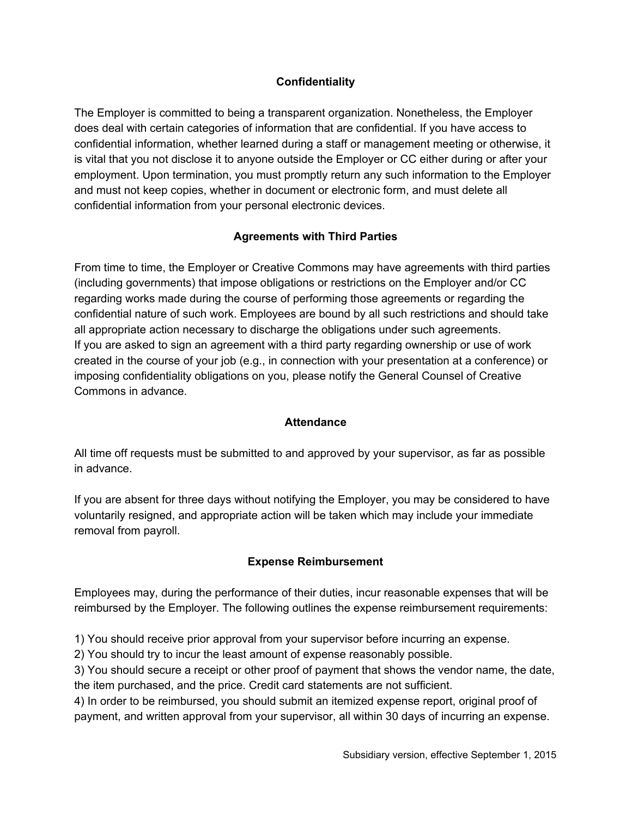## **Confidentiality**

The Employer is committed to being a transparent organization. Nonetheless, the Employer does deal with certain categories of information that are confidential. If you have access to confidential information, whether learned during a staff or management meeting or otherwise, it is vital that you not disclose it to anyone outside the Employer or CC either during or after your employment. Upon termination, you must promptly return any such information to the Employer and must not keep copies, whether in document or electronic form, and must delete all confidential information from your personal electronic devices.

## **Agreements with Third Parties**

From time to time, the Employer or Creative Commons may have agreements with third parties (including governments) that impose obligations or restrictions on the Employer and/or CC regarding works made during the course of performing those agreements or regarding the confidential nature of such work. Employees are bound by all such restrictions and should take all appropriate action necessary to discharge the obligations under such agreements. If you are asked to sign an agreement with a third party regarding ownership or use of work created in the course of your job (e.g., in connection with your presentation at a conference) or imposing confidentiality obligations on you, please notify the General Counsel of Creative Commons in advance.

#### **Attendance**

All time off requests must be submitted to and approved by your supervisor, as far as possible in advance.

If you are absent for three days without notifying the Employer, you may be considered to have voluntarily resigned, and appropriate action will be taken which may include your immediate removal from payroll.

#### **Expense Reimbursement**

Employees may, during the performance of their duties, incur reasonable expenses that will be reimbursed by the Employer. The following outlines the expense reimbursement requirements:

1) You should receive prior approval from your supervisor before incurring an expense.

2) You should try to incur the least amount of expense reasonably possible.

3) You should secure a receipt or other proof of payment that shows the vendor name, the date, the item purchased, and the price. Credit card statements are not sufficient.

4) In order to be reimbursed, you should submit an itemized expense report, original proof of payment, and written approval from your supervisor, all within 30 days of incurring an expense.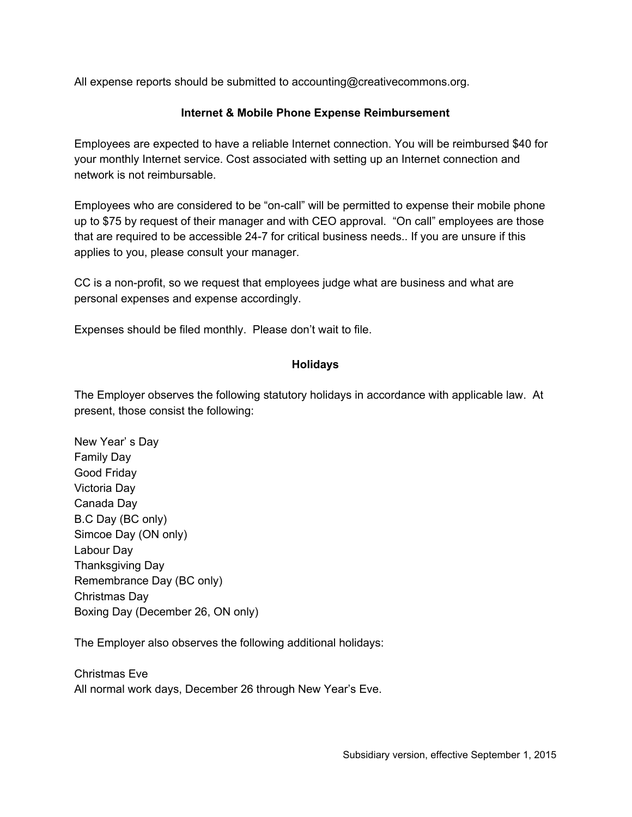All expense reports should be submitted to accounting@creativecommons.org.

#### **Internet & Mobile Phone Expense Reimbursement**

Employees are expected to have a reliable Internet connection. You will be reimbursed \$40 for your monthly Internet service. Cost associated with setting up an Internet connection and network is not reimbursable.

Employees who are considered to be "on-call" will be permitted to expense their mobile phone up to \$75 by request of their manager and with CEO approval. "On call" employees are those that are required to be accessible 247 for critical business needs.. If you are unsure if this applies to you, please consult your manager.

CC is a non-profit, so we request that employees judge what are business and what are personal expenses and expense accordingly.

Expenses should be filed monthly. Please don't wait to file.

#### **Holidays**

The Employer observes the following statutory holidays in accordance with applicable law. At present, those consist the following:

New Year' s Day Family Day Good Friday Victoria Day Canada Day B.C Day (BC only) Simcoe Day (ON only) Labour Day Thanksgiving Day Remembrance Day (BC only) Christmas Day Boxing Day (December 26, ON only)

The Employer also observes the following additional holidays:

Christmas Eve All normal work days, December 26 through New Year's Eve.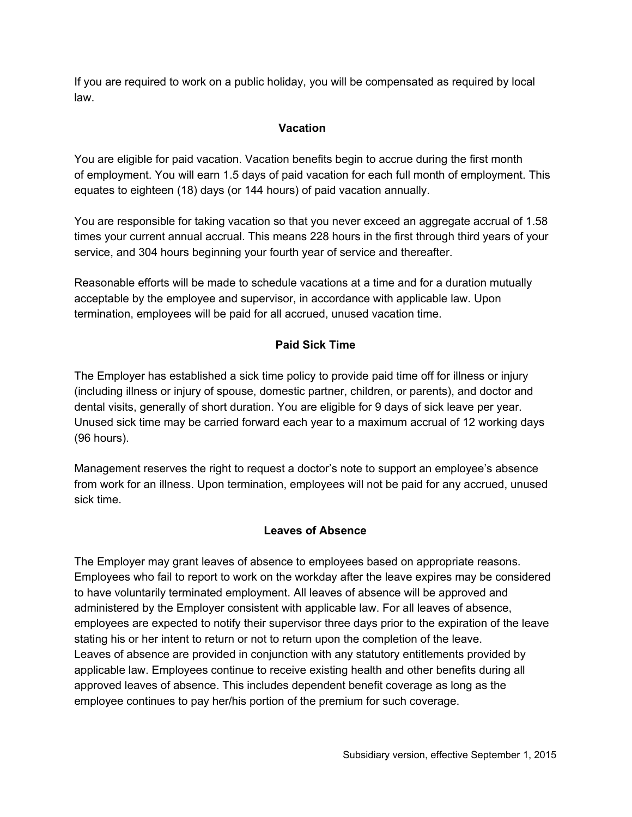If you are required to work on a public holiday, you will be compensated as required by local law.

### **Vacation**

You are eligible for paid vacation. Vacation benefits begin to accrue during the first month of employment. You will earn 1.5 days of paid vacation for each full month of employment. This equates to eighteen (18) days (or 144 hours) of paid vacation annually.

You are responsible for taking vacation so that you never exceed an aggregate accrual of 1.58 times your current annual accrual. This means 228 hours in the first through third years of your service, and 304 hours beginning your fourth year of service and thereafter.

Reasonable efforts will be made to schedule vacations at a time and for a duration mutually acceptable by the employee and supervisor, in accordance with applicable law. Upon termination, employees will be paid for all accrued, unused vacation time.

# **Paid Sick Time**

The Employer has established a sick time policy to provide paid time off for illness or injury (including illness or injury of spouse, domestic partner, children, or parents), and doctor and dental visits, generally of short duration. You are eligible for 9 days of sick leave per year. Unused sick time may be carried forward each year to a maximum accrual of 12 working days (96 hours).

Management reserves the right to request a doctor's note to support an employee's absence from work for an illness. Upon termination, employees will not be paid for any accrued, unused sick time.

# **Leaves of Absence**

The Employer may grant leaves of absence to employees based on appropriate reasons. Employees who fail to report to work on the workday after the leave expires may be considered to have voluntarily terminated employment. All leaves of absence will be approved and administered by the Employer consistent with applicable law. For all leaves of absence, employees are expected to notify their supervisor three days prior to the expiration of the leave stating his or her intent to return or not to return upon the completion of the leave. Leaves of absence are provided in conjunction with any statutory entitlements provided by applicable law. Employees continue to receive existing health and other benefits during all approved leaves of absence. This includes dependent benefit coverage as long as the employee continues to pay her/his portion of the premium for such coverage.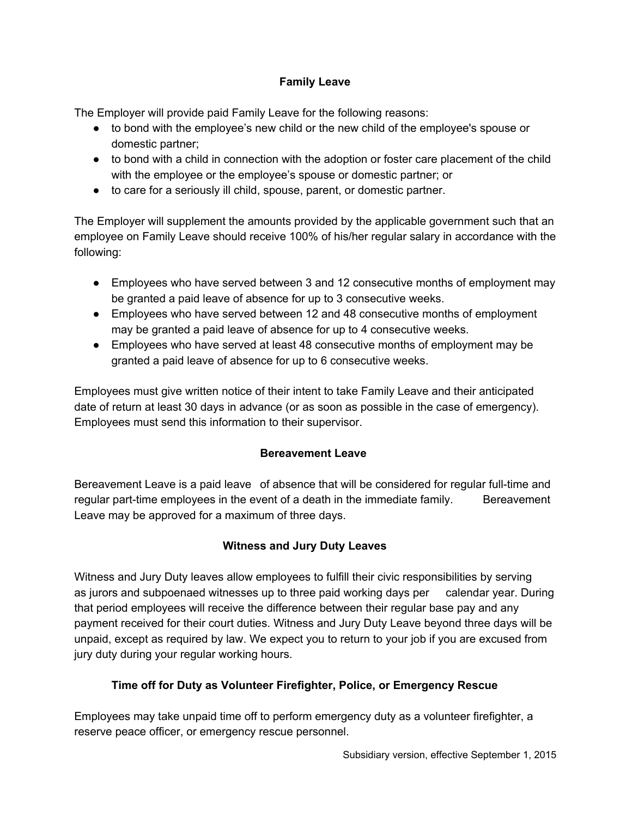## **Family Leave**

The Employer will provide paid Family Leave for the following reasons:

- to bond with the employee's new child or the new child of the employee's spouse or domestic partner;
- to bond with a child in connection with the adoption or foster care placement of the child with the employee or the employee's spouse or domestic partner; or
- to care for a seriously ill child, spouse, parent, or domestic partner.

The Employer will supplement the amounts provided by the applicable government such that an employee on Family Leave should receive 100% of his/her regular salary in accordance with the following:

- Employees who have served between 3 and 12 consecutive months of employment may be granted a paid leave of absence for up to 3 consecutive weeks.
- Employees who have served between 12 and 48 consecutive months of employment may be granted a paid leave of absence for up to 4 consecutive weeks.
- Employees who have served at least 48 consecutive months of employment may be granted a paid leave of absence for up to 6 consecutive weeks.

Employees must give written notice of their intent to take Family Leave and their anticipated date of return at least 30 days in advance (or as soon as possible in the case of emergency). Employees must send this information to their supervisor.

# **Bereavement Leave**

Bereavement Leave is a paid leave of absence that will be considered for regular full-time and regular part-time employees in the event of a death in the immediate family. Bereavement Leave may be approved for a maximum of three days.

# **Witness and Jury Duty Leaves**

Witness and Jury Duty leaves allow employees to fulfill their civic responsibilities by serving as jurors and subpoenaed witnesses up to three paid working days per calendar year. During that period employees will receive the difference between their regular base pay and any payment received for their court duties. Witness and Jury Duty Leave beyond three days will be unpaid, except as required by law. We expect you to return to your job if you are excused from jury duty during your regular working hours.

# **Time off for Duty as Volunteer Firefighter, Police, or Emergency Rescue**

Employees may take unpaid time off to perform emergency duty as a volunteer firefighter, a reserve peace officer, or emergency rescue personnel.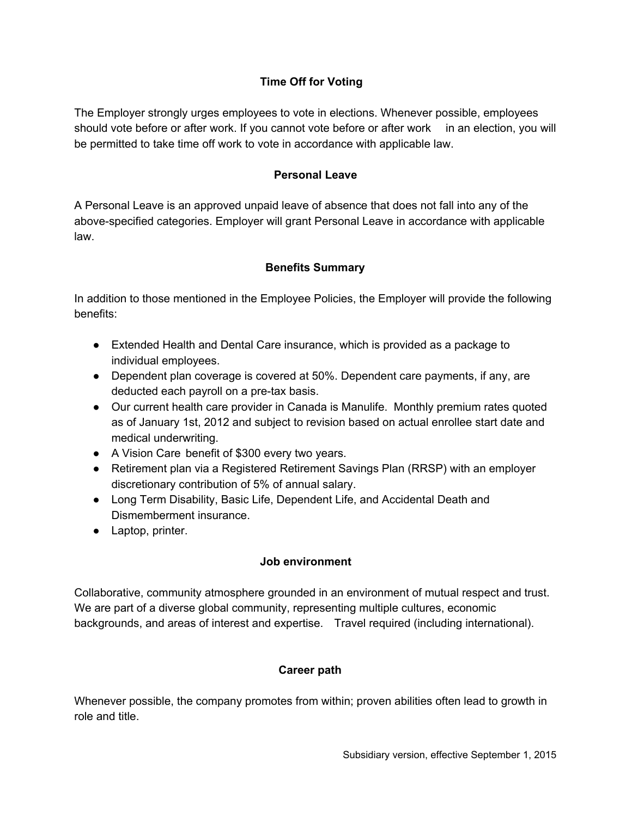### **Time Off for Voting**

The Employer strongly urges employees to vote in elections. Whenever possible, employees should vote before or after work. If you cannot vote before or after work in an election, you will be permitted to take time off work to vote in accordance with applicable law.

#### **Personal Leave**

A Personal Leave is an approved unpaid leave of absence that does not fall into any of the above-specified categories. Employer will grant Personal Leave in accordance with applicable law.

#### **Benefits Summary**

In addition to those mentioned in the Employee Policies, the Employer will provide the following benefits:

- Extended Health and Dental Care insurance, which is provided as a package to individual employees.
- Dependent plan coverage is covered at 50%. Dependent care payments, if any, are deducted each payroll on a pre-tax basis.
- Our current health care provider in Canada is Manulife. Monthly premium rates quoted as of January 1st, 2012 and subject to revision based on actual enrollee start date and medical underwriting.
- A Vision Care benefit of \$300 every two years.
- Retirement plan via a Registered Retirement Savings Plan (RRSP) with an employer discretionary contribution of 5% of annual salary.
- Long Term Disability, Basic Life, Dependent Life, and Accidental Death and Dismemberment insurance.
- Laptop, printer.

#### **Job environment**

Collaborative, community atmosphere grounded in an environment of mutual respect and trust. We are part of a diverse global community, representing multiple cultures, economic backgrounds, and areas of interest and expertise. Travel required (including international).

#### **Career path**

Whenever possible, the company promotes from within; proven abilities often lead to growth in role and title.